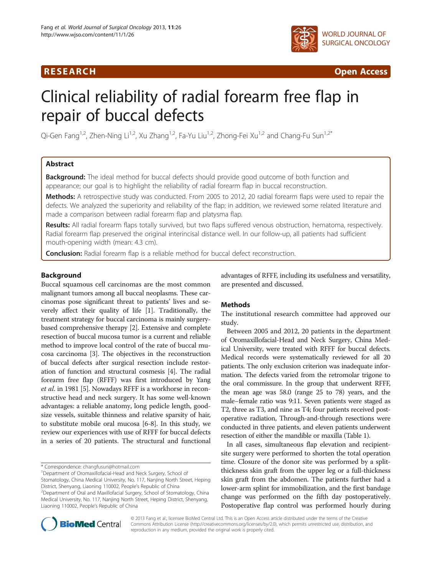# R E S EAR CH Open Access



# Clinical reliability of radial forearm free flap in repair of buccal defects

Qi-Gen Fang<sup>1,2</sup>, Zhen-Ning Li<sup>1,2</sup>, Xu Zhang<sup>1,2</sup>, Fa-Yu Liu<sup>1,2</sup>, Zhong-Fei Xu<sup>1,2</sup> and Chang-Fu Sun<sup>1,2\*</sup>

# Abstract

**Background:** The ideal method for buccal defects should provide good outcome of both function and appearance; our goal is to highlight the reliability of radial forearm flap in buccal reconstruction.

Methods: A retrospective study was conducted. From 2005 to 2012, 20 radial forearm flaps were used to repair the defects. We analyzed the superiority and reliability of the flap; in addition, we reviewed some related literature and made a comparison between radial forearm flap and platysma flap.

Results: All radial forearm flaps totally survived, but two flaps suffered venous obstruction, hematoma, respectively. Radial forearm flap preserved the original interincisal distance well. In our follow-up, all patients had sufficient mouth-opening width (mean: 4.3 cm).

**Conclusion:** Radial forearm flap is a reliable method for buccal defect reconstruction.

## Background

Buccal squamous cell carcinomas are the most common malignant tumors among all buccal neoplasms. These carcinomas pose significant threat to patients' lives and severely affect their quality of life [\[1](#page-2-0)]. Traditionally, the treatment strategy for buccal carcinoma is mainly surgerybased comprehensive therapy [[2\]](#page-2-0). Extensive and complete resection of buccal mucosa tumor is a current and reliable method to improve local control of the rate of buccal mucosa carcinoma [[3\]](#page-2-0). The objectives in the reconstruction of buccal defects after surgical resection include restoration of function and structural cosmesis [\[4](#page-3-0)]. The radial forearm free flap (RFFF) was first introduced by Yang et al. in 1981 [\[5](#page-3-0)]. Nowadays RFFF is a workhorse in reconstructive head and neck surgery. It has some well-known advantages: a reliable anatomy, long pedicle length, goodsize vessels, suitable thinness and relative sparsity of hair, to substitute mobile oral mucosa [\[6](#page-3-0)-[8](#page-3-0)]. In this study, we review our experiences with use of RFFF for buccal defects in a series of 20 patients. The structural and functional

advantages of RFFF, including its usefulness and versatility, are presented and discussed.

# **Methods**

The institutional research committee had approved our study.

Between 2005 and 2012, 20 patients in the department of Oromaxillofacial-Head and Neck Surgery, China Medical University, were treated with RFFF for buccal defects. Medical records were systematically reviewed for all 20 patients. The only exclusion criterion was inadequate information. The defects varied from the retromolar trigone to the oral commissure. In the group that underwent RFFF, the mean age was 58.0 (range 25 to 78) years, and the male–female ratio was 9:11. Seven patients were staged as T2, three as T3, and nine as T4; four patients received postoperative radiation, Through-and-through resections were conducted in three patients, and eleven patients underwent resection of either the mandible or maxilla (Table [1\)](#page-1-0).

In all cases, simultaneous flap elevation and recipientsite surgery were performed to shorten the total operation time. Closure of the donor site was performed by a splitthickness skin graft from the upper leg or a full-thickness skin graft from the abdomen. The patients further had a lower-arm splint for immobilization, and the first bandage change was performed on the fifth day postoperatively. Postoperative flap control was performed hourly during



© 2013 Fang et al.; licensee BioMed Central Ltd. This is an Open Access article distributed under the terms of the Creative Commons Attribution License [\(http://creativecommons.org/licenses/by/2.0\)](http://creativecommons.org/licenses/by/2.0), which permits unrestricted use, distribution, and reproduction in any medium, provided the original work is properly cited.

<sup>\*</sup> Correspondence: [changfusun@hotmail.com](mailto:changfusun@hotmail.com) <sup>1</sup>

<sup>&</sup>lt;sup>1</sup>Department of Oromaxillofacial-Head and Neck Surgery, School of Stomatology, China Medical University, No. 117, Nanjing North Street, Heping District, Shenyang, Liaoning 110002, People's Republic of China <sup>2</sup>

<sup>&</sup>lt;sup>2</sup>Department of Oral and Maxillofacial Surgery, School of Stomatology, China Medical University, No. 117, Nanjing North Street, Heping District, Shenyang, Liaoning 110002, People's Republic of China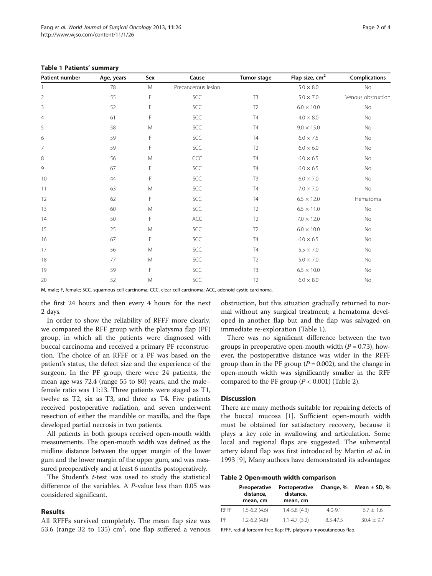| Patient number | Age, years | Sex | Cause               | <b>Tumor stage</b> | Flap size, $cm2$  | <b>Complications</b> |
|----------------|------------|-----|---------------------|--------------------|-------------------|----------------------|
|                | 78         | M   | Precancerous lesion |                    | $5.0 \times 8.0$  | No                   |
| $\overline{2}$ | 55         | F   | SCC                 | T <sub>3</sub>     | $5.0 \times 7.0$  | Venous obstruction   |
| $\overline{3}$ | 52         | F   | SCC                 | T <sub>2</sub>     | $6.0 \times 10.0$ | No                   |
| $\overline{4}$ | 61         | F   | SCC                 | T <sub>4</sub>     | $4.0 \times 8.0$  | No                   |
| 5              | 58         | M   | SCC                 | <b>T4</b>          | $9.0 \times 15.0$ | No                   |
| 6              | 59         | F   | SCC                 | <b>T4</b>          | $6.0 \times 7.5$  | No                   |
| $\overline{7}$ | 59         | F   | SCC                 | T <sub>2</sub>     | $6.0 \times 6.0$  | No                   |
| 8              | 56         | M   | CCC                 | T4                 | $6.0 \times 6.5$  | No                   |
| 9              | 67         | F   | SCC                 | <b>T4</b>          | $6.0 \times 6.5$  | No                   |
| 10             | 44         | F   | $SCC$               | T <sub>3</sub>     | $6.0 \times 7.0$  | No                   |
| 11             | 63         | M   | SCC                 | T4                 | $7.0 \times 7.0$  | No                   |
| 12             | 62         | F   | SCC                 | T <sub>4</sub>     | $6.5 \times 12.0$ | Hematoma             |
| 13             | 60         | M   | $SCC$               | T <sub>2</sub>     | $6.5 \times 11.0$ | No                   |
| 14             | 50         | F   | ACC                 | T <sub>2</sub>     | $7.0 \times 12.0$ | No                   |
| 15             | 25         | M   | SCC                 | T <sub>2</sub>     | $6.0 \times 10.0$ | No                   |
| 16             | 67         | F   | $SCC$               | <b>T4</b>          | $6.0 \times 6.5$  | No                   |
| 17             | 56         | M   | SCC                 | T4                 | $5.5 \times 7.0$  | No                   |
| 18             | 77         | M   | SCC                 | T <sub>2</sub>     | $5.0 \times 7.0$  | No                   |
| 19             | 59         | F   | SCC                 | T <sub>3</sub>     | $6.5\times10.0$   | No                   |
| 20             | 52         | M   | SCC                 | T <sub>2</sub>     | $6.0\times8.0$    | No                   |

<span id="page-1-0"></span>Table 1 Patients' summary

M, male; F, female; SCC, squamous cell carcinoma; CCC, clear cell carcinoma; ACC, adenoid cystic carcinoma.

the first 24 hours and then every 4 hours for the next 2 days.

In order to show the reliability of RFFF more clearly, we compared the RFF group with the platysma flap (PF) group, in which all the patients were diagnosed with buccal carcinoma and received a primary PF reconstruction. The choice of an RFFF or a PF was based on the patient's status, the defect size and the experience of the surgeon. In the PF group, there were 24 patients, the mean age was 72.4 (range 55 to 80) years, and the male– female ratio was 11:13. Three patients were staged as T1, twelve as T2, six as T3, and three as T4. Five patients received postoperative radiation, and seven underwent resection of either the mandible or maxilla, and the flaps developed partial necrosis in two patients.

All patients in both groups received open-mouth width measurements. The open-mouth width was defined as the midline distance between the upper margin of the lower gum and the lower margin of the upper gum, and was measured preoperatively and at least 6 months postoperatively.

The Student's  $t$ -test was used to study the statistical difference of the variables. A Ρ-value less than 0.05 was considered significant.

#### Results

All RFFFs survived completely. The mean flap size was 53.6 (range 32 to 135)  $\text{cm}^2$ , one flap suffered a venous

obstruction, but this situation gradually returned to normal without any surgical treatment; a hematoma developed in another flap but and the flap was salvaged on immediate re-exploration (Table 1).

There was no significant difference between the two groups in preoperative open-mouth width  $(P = 0.73)$ , however, the postoperative distance was wider in the RFFF group than in the PF group ( $P = 0.002$ ), and the change in open-mouth width was significantly smaller in the RFF compared to the PF group  $(P < 0.001)$  (Table 2).

# **Discussion**

There are many methods suitable for repairing defects of the buccal mucosa [\[1\]](#page-2-0). Sufficient open-mouth width must be obtained for satisfactory recovery, because it plays a key role in swallowing and articulation. Some local and regional flaps are suggested. The submental artery island flap was first introduced by Martin et al. in 1993 [\[9\]](#page-3-0), Many authors have demonstrated its advantages:

Table 2 Open-mouth width comparison

|             | Preoperative<br>distance,<br>mean, cm | Postoperative<br>distance,<br>mean, cm | Change, %   | Mean $\pm$ SD, % |  |  |
|-------------|---------------------------------------|----------------------------------------|-------------|------------------|--|--|
| <b>RFFF</b> | $1.5 - 6.2$ (4.6)                     | $1.4 - 5.8(4.3)$                       | $4.0 - 9.1$ | $6.7 + 1.6$      |  |  |
| PF          | $1.2 - 6.2$ (4.8)                     | $1.1 - 4.7(3.2)$                       | 8.3-47.5    | $30.4 + 9.7$     |  |  |

RFFF, radial forearm free flap; PF, platysma myocutaneous flap.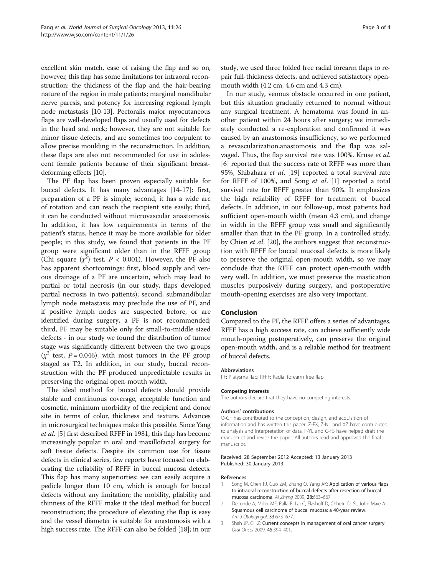<span id="page-2-0"></span>excellent skin match, ease of raising the flap and so on, however, this flap has some limitations for intraoral reconstruction: the thickness of the flap and the hair-bearing nature of the region in male patients; marginal mandibular nerve paresis, and potency for increasing regional lymph node metastasis [\[10-13](#page-3-0)]. Pectoralis major myocutaneous flaps are well-developed flaps and usually used for defects in the head and neck; however, they are not suitable for minor tissue defects, and are sometimes too corpulent to allow precise moulding in the reconstruction. In addition, these flaps are also not recommended for use in adolescent female patients because of their significant breastdeforming effects [[10](#page-3-0)].

The PF flap has been proven especially suitable for buccal defects. It has many advantages [[14-17](#page-3-0)]: first, preparation of a PF is simple; second, it has a wide arc of rotation and can reach the recipient site easily; third, it can be conducted without microvascular anastomosis. In addition, it has low requirements in terms of the patient's status, hence it may be more available for older people; in this study, we found that patients in the PF group were significant older than in the RFFF group (Chi square  $(\chi^2)$  test,  $P < 0.001$ ). However, the PF also has apparent shortcomings: first, blood supply and venous drainage of a PF are uncertain, which may lead to partial or total necrosis (in our study, flaps developed partial necrosis in two patients); second, submandibular lymph node metastasis may preclude the use of PF, and if positive lymph nodes are suspected before, or are identified during surgery, a PF is not recommended; third, PF may be suitable only for small-to-middle sized defects - in our study we found the distribution of tumor stage was significantly different between the two groups  $(x^2 \text{ test}, P = 0.046)$ , with most tumors in the PF group staged as T2. In addition, in our study, buccal reconstruction with the PF produced unpredictable results in preserving the original open-mouth width.

The ideal method for buccal defects should provide stable and continuous coverage, acceptable function and cosmetic, minimum morbidity of the recipient and donor site in terms of color, thickness and texture. Advances in microsurgical techniques make this possible. Since Yang et al. [\[5\]](#page-3-0) first described RFFF in 1981, this flap has become increasingly popular in oral and maxillofacial surgery for soft tissue defects. Despite its common use for tissue defects in clinical series, few reports have focused on elaborating the reliability of RFFF in buccal mucosa defects. This flap has many superiorties: we can easily acquire a pedicle longer than 10 cm, which is enough for buccal defects without any limitation; the mobility, pliability and thinness of the RFFF make it the ideal method for buccal reconstruction; the procedure of elevating the flap is easy and the vessel diameter is suitable for anastomosis with a high success rate. The RFFF can also be folded [[18](#page-3-0)]; in our study, we used three folded free radial forearm flaps to repair full-thickness defects, and achieved satisfactory openmouth width (4.2 cm, 4.6 cm and 4.3 cm).

In our study, venous obstacle occurred in one patient, but this situation gradually returned to normal without any surgical treatment. A hematoma was found in another patient within 24 hours after surgery; we immediately conducted a re-exploration and confirmed it was caused by an anastomosis insufficiency, so we performed a revascularization.anastomosis and the flap was salvaged. Thus, the flap survival rate was 100%. Kruse et al. [[6\]](#page-3-0) reported that the success rate of RFFF was more than 95%, Shibahara et al. [[19](#page-3-0)] reported a total survival rate for RFFF of 100%, and Song et al. [1] reported a total survival rate for RFFF greater than 90%. It emphasizes the high reliability of RFFF for treatment of buccal defects. In addition, in our follow-up, most patients had sufficient open-mouth width (mean 4.3 cm), and change in width in the RFFF group was small and significantly smaller than that in the PF group. In a controlled study. by Chien *et al.* [[20](#page-3-0)], the authors suggest that reconstruction with RFFF for buccal mucosal defects is more likely to preserve the original open-mouth width, so we may conclude that the RFFF can protect open-mouth width very well. In addition, we must preserve the mastication muscles purposively during surgery, and postoperative mouth-opening exercises are also very important.

#### Conclusion

Compared to the PF, the RFFF offers a series of advantages. RFFF has a high success rate, can achieve sufficiently wide mouth-opening postoperatively, can preserve the original open-mouth width, and is a reliable method for treatment of buccal defects.

#### Abbreviations

PF: Platysma flap; RFFF: Radial forearm free flap.

#### Competing interests

The authors declare that they have no competing interests.

#### Authors' contributions

Q-GF has contributed to the conception, design, and acquisition of information and has written this paper. Z-FX, Z-NL and XZ have contributed to analysis and interpretation of data. F-YL and C-FS have helped draft the manuscript and revise the paper. All authors read and approved the final manuscript.

#### Received: 28 September 2012 Accepted: 13 January 2013 Published: 30 January 2013

#### References

- 1. Song M, Chen FJ, Guo ZM, Zhang Q, Yang AK: Application of various flaps to intraoral reconstruction of buccal defects after resection of buccal mucosa carcinoma. Ai Zheng 2009, 28:663–667.
- 2. Deconde A, Miller ME, Palla B, Lai C, Elashoff D, Chhetri D, St. John Maie A: Squamous cell carcinoma of buccal mucosa: a 40-year review. Am J Otolaryngol, 33:673–677.
- 3. Shah JP, Gil Z: Current concepts in management of oral cancer surgery. Oral Oncol 2009, 45:394–401.